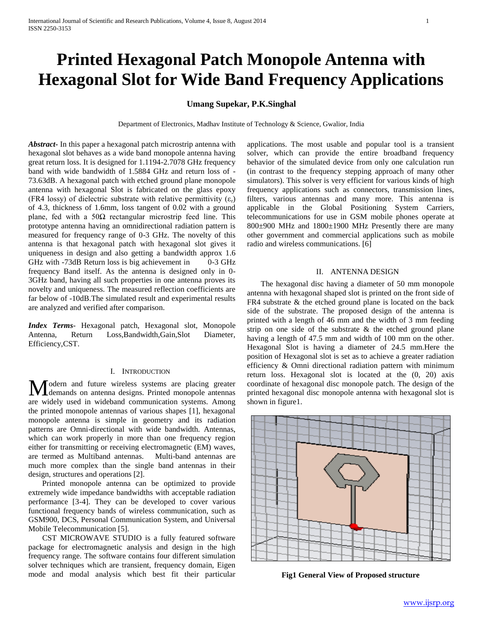# **Printed Hexagonal Patch Monopole Antenna with Hexagonal Slot for Wide Band Frequency Applications**

## **Umang Supekar, P.K.Singhal**

Department of Electronics, Madhav Institute of Technology & Science, Gwalior, India

*Abstract***-** In this paper a hexagonal patch microstrip antenna with hexagonal slot behaves as a wide band monopole antenna having great return loss. It is designed for 1.1194-2.7078 GHz frequency band with wide bandwidth of 1.5884 GHz and return loss of - 73.63dB. A hexagonal patch with etched ground plane monopole antenna with hexagonal Slot is fabricated on the glass epoxy (FR4 lossy) of dielectric substrate with relative permittivity  $(\varepsilon_r)$ of 4.3, thickness of 1.6mm, loss tangent of 0.02 with a ground plane, fed with a  $50\Omega$  rectangular microstrip feed line. This prototype antenna having an omnidirectional radiation pattern is measured for frequency range of 0-3 GHz. The novelty of this antenna is that hexagonal patch with hexagonal slot gives it uniqueness in design and also getting a bandwidth approx 1.6 GHz with -73dB Return loss is big achievement in 0-3 GHz frequency Band itself. As the antenna is designed only in 0- 3GHz band, having all such properties in one antenna proves its novelty and uniqueness. The measured reflection coefficients are far below of -10dB.The simulated result and experimental results are analyzed and verified after comparison.

*Index Terms*- Hexagonal patch, Hexagonal slot, Monopole Antenna, Return Loss,Bandwidth,Gain,Slot Diameter, Efficiency,CST.

## I. INTRODUCTION

odern and future wireless systems are placing greater Modern and future wireless systems are placing greater demands on antenna designs. Printed monopole antennas are widely used in wideband communication systems. Among the printed monopole antennas of various shapes [1], hexagonal monopole antenna is simple in geometry and its radiation patterns are Omni-directional with wide bandwidth. Antennas, which can work properly in more than one frequency region either for transmitting or receiving electromagnetic (EM) waves, are termed as Multiband antennas. Multi-band antennas are much more complex than the single band antennas in their design, structures and operations [2].

 Printed monopole antenna can be optimized to provide extremely wide impedance bandwidths with acceptable radiation performance [3-4]. They can be developed to cover various functional frequency bands of wireless communication, such as GSM900, DCS, Personal Communication System, and Universal Mobile Telecommunication [5].

 CST MICROWAVE STUDIO is a fully featured software package for electromagnetic analysis and design in the high frequency range. The software contains four different simulation solver techniques which are transient, frequency domain, Eigen mode and modal analysis which best fit their particular

applications. The most usable and popular tool is a transient solver, which can provide the entire broadband frequency behavior of the simulated device from only one calculation run (in contrast to the frequency stepping approach of many other simulators). This solver is very efficient for various kinds of high frequency applications such as connectors, transmission lines, filters, various antennas and many more. This antenna is applicable in the Global Positioning System Carriers, telecommunications for use in GSM mobile phones operate at 800±900 MHz and 1800±1900 MHz Presently there are many other government and commercial applications such as mobile radio and wireless communications. [6]

#### II. ANTENNA DESIGN

 The hexagonal disc having a diameter of 50 mm monopole antenna with hexagonal shaped slot is printed on the front side of FR4 substrate & the etched ground plane is located on the back side of the substrate. The proposed design of the antenna is printed with a length of 46 mm and the width of 3 mm feeding strip on one side of the substrate & the etched ground plane having a length of 47.5 mm and width of 100 mm on the other. Hexagonal Slot is having a diameter of 24.5 mm.Here the position of Hexagonal slot is set as to achieve a greater radiation efficiency & Omni directional radiation pattern with minimum return loss. Hexagonal slot is located at the (0, 20) axis coordinate of hexagonal disc monopole patch. The design of the printed hexagonal disc monopole antenna with hexagonal slot is shown in figure1.



**Fig1 General View of Proposed structure**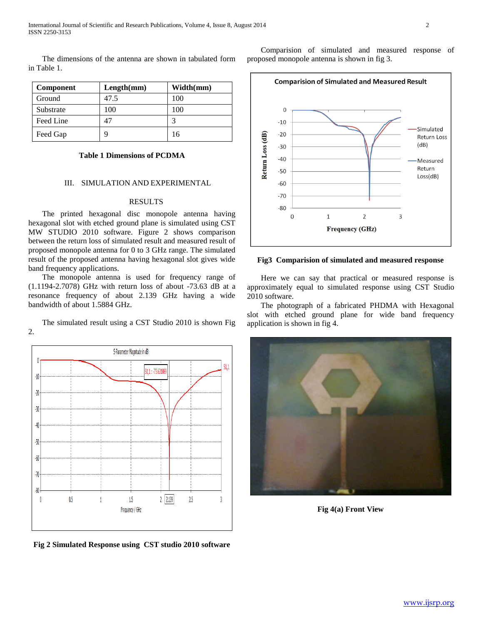The dimensions of the antenna are shown in tabulated form in Table 1.

| Component | Length(mm) | Width(mm) |  |
|-----------|------------|-----------|--|
| Ground    | 47.5       | 100       |  |
| Substrate | 100        | 100       |  |
| Feed Line | 47         |           |  |
| Feed Gap  |            | 16        |  |

## **Table 1 Dimensions of PCDMA**

#### III. SIMULATION AND EXPERIMENTAL

#### RESULTS

 The printed hexagonal disc monopole antenna having hexagonal slot with etched ground plane is simulated using CST MW STUDIO 2010 software. Figure 2 shows comparison between the return loss of simulated result and measured result of proposed monopole antenna for 0 to 3 GHz range. The simulated result of the proposed antenna having hexagonal slot gives wide band frequency applications.

 The monopole antenna is used for frequency range of (1.1194-2.7078) GHz with return loss of about -73.63 dB at a resonance frequency of about 2.139 GHz having a wide bandwidth of about 1.5884 GHz.

 The simulated result using a CST Studio 2010 is shown Fig 2.



**Fig 2 Simulated Response using CST studio 2010 software**

 Comparision of simulated and measured response of proposed monopole antenna is shown in fig 3.



#### **Fig3 Comparision of simulated and measured response**

 Here we can say that practical or measured response is approximately equal to simulated response using CST Studio 2010 software.

 The photograph of a fabricated PHDMA with Hexagonal slot with etched ground plane for wide band frequency application is shown in fig 4.



**Fig 4(a) Front View**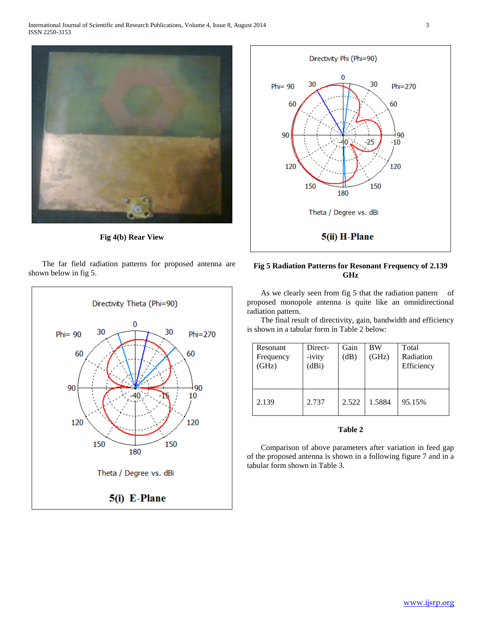

**Fig 4(b) Rear View**

 The far field radiation patterns for proposed antenna are shown below in fig 5.





## **Fig 5 Radiation Patterns for Resonant Frequency of 2.139 GHz**

As we clearly seen from fig 5 that the radiation pattern of proposed monopole antenna is quite like an omnidirectional radiation pattern.

 The final result of directivity, gain, bandwidth and efficiency is shown in a tabular form in Table 2 below:

| <b>Resonant</b><br>Frequency<br>(GHz) | Direct-<br>-ivity<br>(dBi) | Gain<br>(dB) | BW<br>(GHz) | Total<br>Radiation<br>Efficiency |
|---------------------------------------|----------------------------|--------------|-------------|----------------------------------|
| 2.139                                 | 2.737                      | 2.522        | 1.5884      | 95.15%                           |

## **Table 2**

 Comparison of above parameters after variation in feed gap of the proposed antenna is shown in a following figure 7 and in a tabular form shown in Table 3.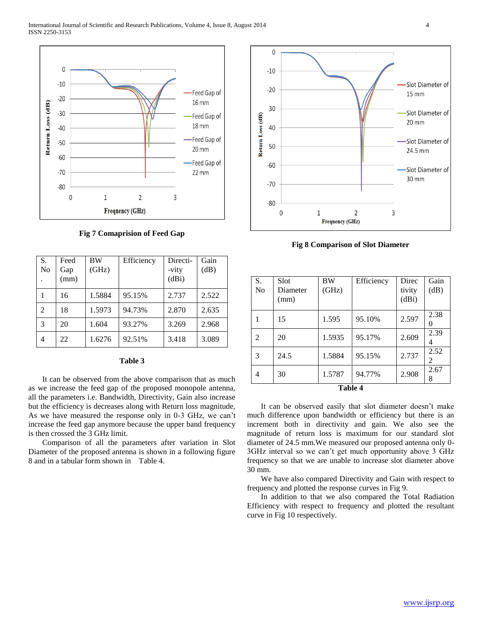

**Fig 7 Comaprision of Feed Gap**

| S.<br>No | Feed<br>Gap<br>(mm) | BW<br>(GHz) | Efficiency | Directi-<br>-vity<br>(dBi) | Gain<br>(dB) |
|----------|---------------------|-------------|------------|----------------------------|--------------|
|          | 16                  | 1.5884      | 95.15%     | 2.737                      | 2.522        |
| 2        | 18                  | 1.5973      | 94.73%     | 2.870                      | 2.635        |
| 3        | 20                  | 1.604       | 93.27%     | 3.269                      | 2.968        |
| 4        | 22                  | 1.6276      | 92.51%     | 3.418                      | 3.089        |

## **Table 3**

 It can be observed from the above comparison that as much as we increase the feed gap of the proposed monopole antenna, all the parameters i.e. Bandwidth, Directivity, Gain also increase but the efficiency is decreases along with Return loss magnitude, As we have measured the response only in 0-3 GHz, we can't increase the feed gap anymore because the upper band frequency is then crossed the 3 GHz limit.

 Comparison of all the parameters after variation in Slot Diameter of the proposed antenna is shown in a following figure 8 and in a tabular form shown in Table 4.



**Fig 8 Comparison of Slot Diameter**

| S.<br>N <sub>0</sub> | Slot<br>Diameter<br>(mm) | BW<br>(GHz) | Efficiency | Direc<br>tivity<br>(dBi) | Gain<br>(dB)   |
|----------------------|--------------------------|-------------|------------|--------------------------|----------------|
|                      | 15                       | 1.595       | 95.10%     | 2.597                    | 2.38<br>$_{0}$ |
| 2                    | 20                       | 1.5935      | 95.17%     | 2.609                    | 2.39<br>4      |
| 3                    | 24.5                     | 1.5884      | 95.15%     | 2.737                    | 2.52<br>2      |
| 4                    | 30                       | 1.5787      | 94.77%     | 2.908                    | 2.67<br>8      |

**Table 4**

 It can be observed easily that slot diameter doesn't make much difference upon bandwidth or efficiency but there is an increment both in directivity and gain. We also see the magnitude of return loss is maximum for our standard slot diameter of 24.5 mm.We measured our proposed antenna only 0- 3GHz interval so we can't get much opportunity above 3 GHz frequency so that we are unable to increase slot diameter above 30 mm.

 We have also compared Directivity and Gain with respect to frequency and plotted the response curves in Fig 9.

 In addition to that we also compared the Total Radiation Efficiency with respect to frequency and plotted the resultant curve in Fig 10 respectively.